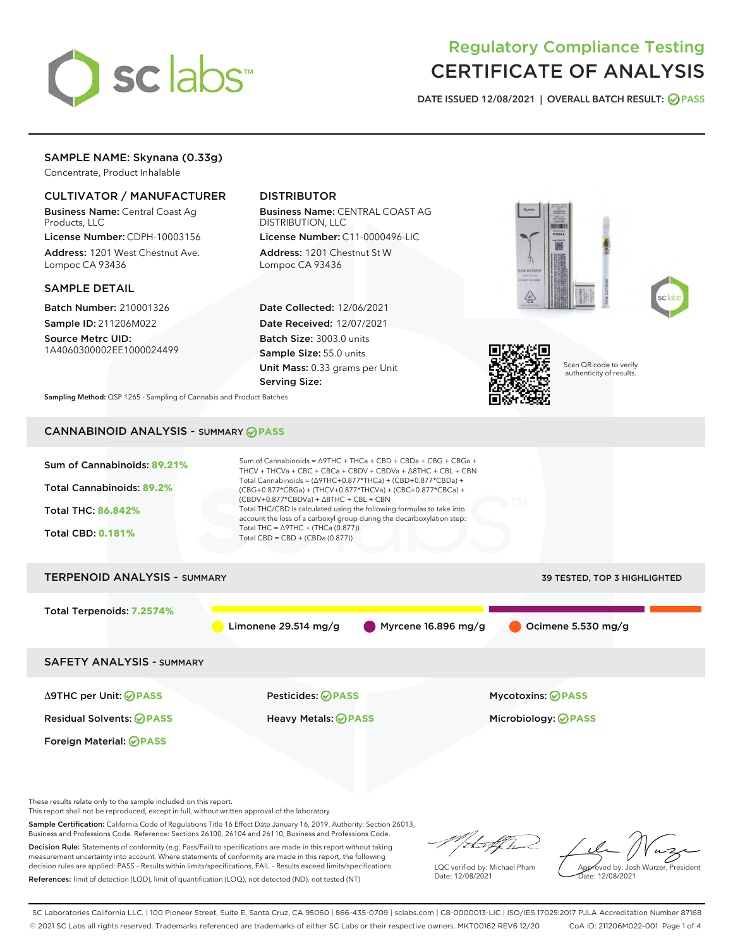

# Regulatory Compliance Testing CERTIFICATE OF ANALYSIS

DATE ISSUED 12/08/2021 | OVERALL BATCH RESULT: @ PASS

# SAMPLE NAME: Skynana (0.33g)

Concentrate, Product Inhalable

# CULTIVATOR / MANUFACTURER

Business Name: Central Coast Ag Products, LLC

License Number: CDPH-10003156 Address: 1201 West Chestnut Ave. Lompoc CA 93436

### SAMPLE DETAIL

Batch Number: 210001326 Sample ID: 211206M022

Source Metrc UID: 1A4060300002EE1000024499

# DISTRIBUTOR

Business Name: CENTRAL COAST AG DISTRIBUTION, LLC

License Number: C11-0000496-LIC Address: 1201 Chestnut St W Lompoc CA 93436

Date Collected: 12/06/2021 Date Received: 12/07/2021 Batch Size: 3003.0 units Sample Size: 55.0 units Unit Mass: 0.33 grams per Unit Serving Size:







Scan QR code to verify authenticity of results.

Sampling Method: QSP 1265 - Sampling of Cannabis and Product Batches

# CANNABINOID ANALYSIS - SUMMARY **PASS**



These results relate only to the sample included on this report.

This report shall not be reproduced, except in full, without written approval of the laboratory.

Sample Certification: California Code of Regulations Title 16 Effect Date January 16, 2019. Authority: Section 26013, Business and Professions Code. Reference: Sections 26100, 26104 and 26110, Business and Professions Code.

Decision Rule: Statements of conformity (e.g. Pass/Fail) to specifications are made in this report without taking measurement uncertainty into account. Where statements of conformity are made in this report, the following decision rules are applied: PASS – Results within limits/specifications, FAIL – Results exceed limits/specifications. References: limit of detection (LOD), limit of quantification (LOQ), not detected (ND), not tested (NT)

that for

LQC verified by: Michael Pham Date: 12/08/2021

Approved by: Josh Wurzer, President ate: 12/08/2021

SC Laboratories California LLC. | 100 Pioneer Street, Suite E, Santa Cruz, CA 95060 | 866-435-0709 | sclabs.com | C8-0000013-LIC | ISO/IES 17025:2017 PJLA Accreditation Number 87168 © 2021 SC Labs all rights reserved. Trademarks referenced are trademarks of either SC Labs or their respective owners. MKT00162 REV6 12/20 CoA ID: 211206M022-001 Page 1 of 4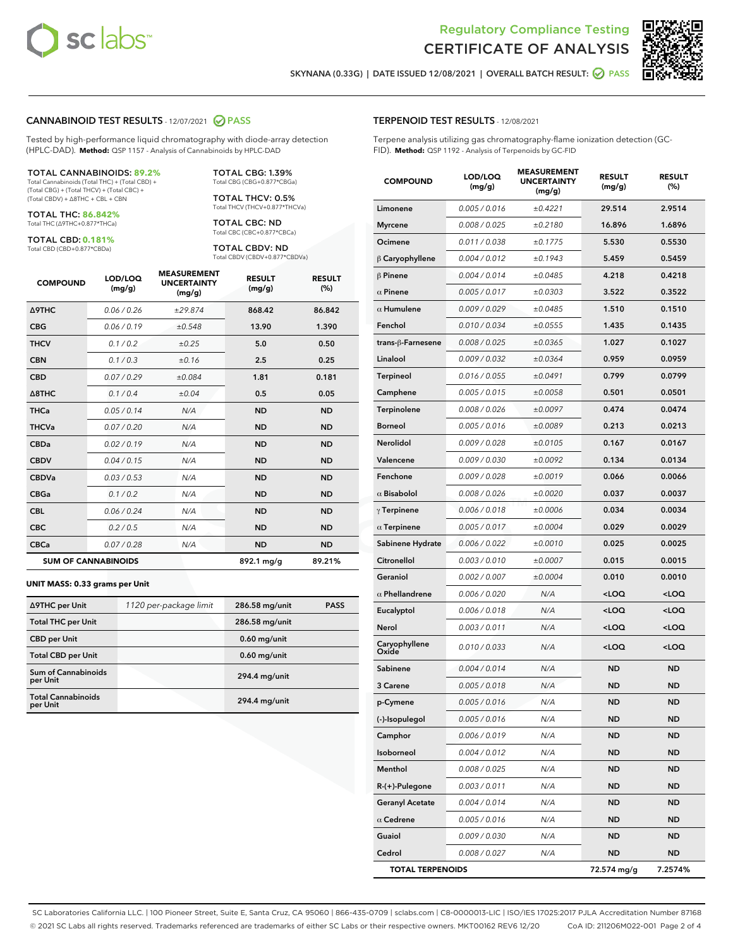



SKYNANA (0.33G) | DATE ISSUED 12/08/2021 | OVERALL BATCH RESULT: O PASS

#### CANNABINOID TEST RESULTS - 12/07/2021 2 PASS

Tested by high-performance liquid chromatography with diode-array detection (HPLC-DAD). **Method:** QSP 1157 - Analysis of Cannabinoids by HPLC-DAD

#### TOTAL CANNABINOIDS: **89.2%**

Total Cannabinoids (Total THC) + (Total CBD) + (Total CBG) + (Total THCV) + (Total CBC) + (Total CBDV) + ∆8THC + CBL + CBN

TOTAL THC: **86.842%** Total THC (∆9THC+0.877\*THCa)

TOTAL CBD: **0.181%**

Total CBD (CBD+0.877\*CBDa)

TOTAL CBG: 1.39% Total CBG (CBG+0.877\*CBGa)

TOTAL THCV: 0.5% Total THCV (THCV+0.877\*THCVa)

TOTAL CBC: ND Total CBC (CBC+0.877\*CBCa)

TOTAL CBDV: ND Total CBDV (CBDV+0.877\*CBDVa)

| <b>COMPOUND</b>  | LOD/LOQ<br>(mg/g)          | <b>MEASUREMENT</b><br><b>UNCERTAINTY</b><br>(mg/g) | <b>RESULT</b><br>(mg/g) | <b>RESULT</b><br>(%) |
|------------------|----------------------------|----------------------------------------------------|-------------------------|----------------------|
| <b>A9THC</b>     | 0.06 / 0.26                | ±29.874                                            | 868.42                  | 86.842               |
| <b>CBG</b>       | 0.06/0.19                  | ±0.548                                             | 13.90                   | 1.390                |
| <b>THCV</b>      | 0.1 / 0.2                  | ±0.25                                              | 5.0                     | 0.50                 |
| <b>CBN</b>       | 0.1 / 0.3                  | ±0.16                                              | 2.5                     | 0.25                 |
| <b>CBD</b>       | 0.07/0.29                  | ±0.084                                             | 1.81                    | 0.181                |
| $\triangle$ 8THC | 0.1 / 0.4                  | ±0.04                                              | 0.5                     | 0.05                 |
| THCa             | 0.05/0.14                  | N/A                                                | <b>ND</b>               | <b>ND</b>            |
| <b>THCVa</b>     | 0.07/0.20                  | N/A                                                | <b>ND</b>               | <b>ND</b>            |
| <b>CBDa</b>      | 0.02/0.19                  | N/A                                                | <b>ND</b>               | <b>ND</b>            |
| <b>CBDV</b>      | 0.04/0.15                  | N/A                                                | <b>ND</b>               | <b>ND</b>            |
| <b>CBDVa</b>     | 0.03/0.53                  | N/A                                                | <b>ND</b>               | <b>ND</b>            |
| <b>CBGa</b>      | 0.1/0.2                    | N/A                                                | <b>ND</b>               | <b>ND</b>            |
| <b>CBL</b>       | 0.06 / 0.24                | N/A                                                | <b>ND</b>               | <b>ND</b>            |
| <b>CBC</b>       | 0.2 / 0.5                  | N/A                                                | <b>ND</b>               | <b>ND</b>            |
| <b>CBCa</b>      | 0.07/0.28                  | N/A                                                | <b>ND</b>               | <b>ND</b>            |
|                  | <b>SUM OF CANNABINOIDS</b> |                                                    | 892.1 mg/g              | 89.21%               |

#### **UNIT MASS: 0.33 grams per Unit**

| ∆9THC per Unit                         | 1120 per-package limit | 286.58 mg/unit  | <b>PASS</b> |
|----------------------------------------|------------------------|-----------------|-------------|
| <b>Total THC per Unit</b>              |                        | 286.58 mg/unit  |             |
| <b>CBD per Unit</b>                    |                        | $0.60$ mg/unit  |             |
| <b>Total CBD per Unit</b>              |                        | $0.60$ mg/unit  |             |
| <b>Sum of Cannabinoids</b><br>per Unit |                        | 294.4 mg/unit   |             |
| <b>Total Cannabinoids</b><br>per Unit  |                        | $294.4$ mg/unit |             |

| <b>COMPOUND</b>         | LOD/LOQ<br>(mg/g) | <b>MEASUREMENT</b><br><b>UNCERTAINTY</b><br>(mg/g) | <b>RESULT</b><br>(mg/g)                         | <b>RESULT</b><br>(% ) |
|-------------------------|-------------------|----------------------------------------------------|-------------------------------------------------|-----------------------|
| Limonene                | 0.005 / 0.016     | ±0.4221                                            | 29.514                                          | 2.9514                |
| <b>Myrcene</b>          | 0.008 / 0.025     | ±0.2180                                            | 16.896                                          | 1.6896                |
| Ocimene                 | 0.011 / 0.038     | ±0.1775                                            | 5.530                                           | 0.5530                |
| β Caryophyllene         | 0.004 / 0.012     | ±0.1943                                            | 5.459                                           | 0.5459                |
| $\beta$ Pinene          | 0.004 / 0.014     | ±0.0485                                            | 4.218                                           | 0.4218                |
| $\alpha$ Pinene         | 0.005 / 0.017     | ±0.0303                                            | 3.522                                           | 0.3522                |
| $\alpha$ Humulene       | 0.009 / 0.029     | ±0.0485                                            | 1.510                                           | 0.1510                |
| Fenchol                 | 0.010 / 0.034     | ±0.0555                                            | 1.435                                           | 0.1435                |
| trans-β-Farnesene       | 0.008 / 0.025     | ±0.0365                                            | 1.027                                           | 0.1027                |
| Linalool                | 0.009 / 0.032     | ±0.0364                                            | 0.959                                           | 0.0959                |
| Terpineol               | 0.016 / 0.055     | ±0.0491                                            | 0.799                                           | 0.0799                |
| Camphene                | 0.005 / 0.015     | ±0.0058                                            | 0.501                                           | 0.0501                |
| Terpinolene             | 0.008 / 0.026     | ±0.0097                                            | 0.474                                           | 0.0474                |
| <b>Borneol</b>          | 0.005 / 0.016     | ±0.0089                                            | 0.213                                           | 0.0213                |
| Nerolidol               | 0.009 / 0.028     | ±0.0105                                            | 0.167                                           | 0.0167                |
| Valencene               | 0.009 / 0.030     | ±0.0092                                            | 0.134                                           | 0.0134                |
| Fenchone                | 0.009 / 0.028     | ±0.0019                                            | 0.066                                           | 0.0066                |
| $\alpha$ Bisabolol      | 0.008 / 0.026     | ±0.0020                                            | 0.037                                           | 0.0037                |
| $\gamma$ Terpinene      | 0.006 / 0.018     | ±0.0006                                            | 0.034                                           | 0.0034                |
| $\alpha$ Terpinene      | 0.005 / 0.017     | ±0.0004                                            | 0.029                                           | 0.0029                |
| Sabinene Hydrate        | 0.006 / 0.022     | ±0.0010                                            | 0.025                                           | 0.0025                |
| Citronellol             | 0.003 / 0.010     | ±0.0007                                            | 0.015                                           | 0.0015                |
| Geraniol                | 0.002 / 0.007     | ±0.0004                                            | 0.010                                           | 0.0010                |
| $\alpha$ Phellandrene   | 0.006 / 0.020     | N/A                                                | <loq< th=""><th><loq< th=""></loq<></th></loq<> | <loq< th=""></loq<>   |
| Eucalyptol              | 0.006 / 0.018     | N/A                                                | $<$ LOQ                                         | <loq< th=""></loq<>   |
| Nerol                   | 0.003 / 0.011     | N/A                                                | <loq< th=""><th><loq< th=""></loq<></th></loq<> | <loq< th=""></loq<>   |
| Caryophyllene<br>Oxide  | 0.010 / 0.033     | N/A                                                | $<$ LOQ                                         | <loq< th=""></loq<>   |
| Sabinene                | 0.004 / 0.014     | N/A                                                | <b>ND</b>                                       | ND                    |
| 3 Carene                | 0.005 / 0.018     | N/A                                                | <b>ND</b>                                       | <b>ND</b>             |
| p-Cymene                | 0.005 / 0.016     | N/A                                                | <b>ND</b>                                       | <b>ND</b>             |
| (-)-Isopulegol          | 0.005 / 0.016     | N/A                                                | ND                                              | ND                    |
| Camphor                 | 0.006 / 0.019     | N/A                                                | <b>ND</b>                                       | ND                    |
| Isoborneol              | 0.004 / 0.012     | N/A                                                | ND                                              | ND                    |
| Menthol                 | 0.008 / 0.025     | N/A                                                | ND                                              | ND                    |
| R-(+)-Pulegone          | 0.003 / 0.011     | N/A                                                | <b>ND</b>                                       | ND                    |
| <b>Geranyl Acetate</b>  | 0.004 / 0.014     | N/A                                                | ND                                              | ND                    |
| $\alpha$ Cedrene        | 0.005 / 0.016     | N/A                                                | ND                                              | ND                    |
| Guaiol                  | 0.009 / 0.030     | N/A                                                | ND                                              | ND                    |
| Cedrol                  | 0.008 / 0.027     | N/A                                                | ND                                              | ND                    |
| <b>TOTAL TERPENOIDS</b> |                   |                                                    | 72.574 mg/g                                     | 7.2574%               |

SC Laboratories California LLC. | 100 Pioneer Street, Suite E, Santa Cruz, CA 95060 | 866-435-0709 | sclabs.com | C8-0000013-LIC | ISO/IES 17025:2017 PJLA Accreditation Number 87168 © 2021 SC Labs all rights reserved. Trademarks referenced are trademarks of either SC Labs or their respective owners. MKT00162 REV6 12/20 CoA ID: 211206M022-001 Page 2 of 4

# TERPENOID TEST RESULTS - 12/08/2021

Terpene analysis utilizing gas chromatography-flame ionization detection (GC-FID). **Method:** QSP 1192 - Analysis of Terpenoids by GC-FID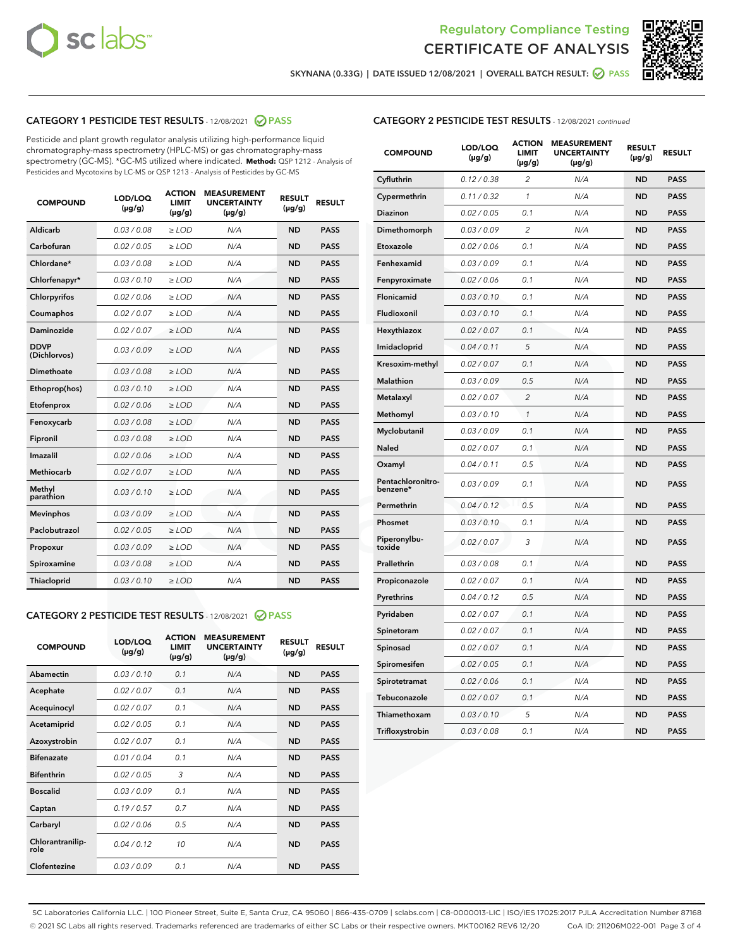



SKYNANA (0.33G) | DATE ISSUED 12/08/2021 | OVERALL BATCH RESULT:  $\bigcirc$  PASS

# CATEGORY 1 PESTICIDE TEST RESULTS - 12/08/2021 2 PASS

Pesticide and plant growth regulator analysis utilizing high-performance liquid chromatography-mass spectrometry (HPLC-MS) or gas chromatography-mass spectrometry (GC-MS). \*GC-MS utilized where indicated. **Method:** QSP 1212 - Analysis of Pesticides and Mycotoxins by LC-MS or QSP 1213 - Analysis of Pesticides by GC-MS

| <b>COMPOUND</b>             | LOD/LOQ<br>$(\mu g/g)$ | <b>ACTION</b><br><b>LIMIT</b><br>$(\mu g/g)$ | <b>MEASUREMENT</b><br><b>UNCERTAINTY</b><br>$(\mu g/g)$ | <b>RESULT</b><br>$(\mu g/g)$ | <b>RESULT</b> |
|-----------------------------|------------------------|----------------------------------------------|---------------------------------------------------------|------------------------------|---------------|
| Aldicarb                    | 0.03/0.08              | $>$ LOD                                      | N/A                                                     | <b>ND</b>                    | <b>PASS</b>   |
| Carbofuran                  | 0.02 / 0.05            | $\ge$ LOD                                    | N/A                                                     | <b>ND</b>                    | <b>PASS</b>   |
| Chlordane*                  | 0.03/0.08              | $>$ LOD                                      | N/A                                                     | <b>ND</b>                    | <b>PASS</b>   |
| Chlorfenapyr*               | 0.03/0.10              | $\ge$ LOD                                    | N/A                                                     | <b>ND</b>                    | <b>PASS</b>   |
| Chlorpyrifos                | 0.02 / 0.06            | $\geq$ LOD                                   | N/A                                                     | <b>ND</b>                    | <b>PASS</b>   |
| Coumaphos                   | 0.02 / 0.07            | $\ge$ LOD                                    | N/A                                                     | <b>ND</b>                    | <b>PASS</b>   |
| Daminozide                  | 0.02 / 0.07            | $\ge$ LOD                                    | N/A                                                     | <b>ND</b>                    | <b>PASS</b>   |
| <b>DDVP</b><br>(Dichlorvos) | 0.03/0.09              | $\ge$ LOD                                    | N/A                                                     | <b>ND</b>                    | <b>PASS</b>   |
| <b>Dimethoate</b>           | 0.03/0.08              | $\ge$ LOD                                    | N/A                                                     | <b>ND</b>                    | <b>PASS</b>   |
| Ethoprop(hos)               | 0.03/0.10              | $\ge$ LOD                                    | N/A                                                     | <b>ND</b>                    | <b>PASS</b>   |
| Etofenprox                  | 0.02 / 0.06            | $\ge$ LOD                                    | N/A                                                     | <b>ND</b>                    | <b>PASS</b>   |
| Fenoxycarb                  | 0.03/0.08              | $\ge$ LOD                                    | N/A                                                     | <b>ND</b>                    | <b>PASS</b>   |
| Fipronil                    | 0.03/0.08              | $>$ LOD                                      | N/A                                                     | <b>ND</b>                    | <b>PASS</b>   |
| Imazalil                    | 0.02 / 0.06            | $>$ LOD                                      | N/A                                                     | <b>ND</b>                    | <b>PASS</b>   |
| <b>Methiocarb</b>           | 0.02 / 0.07            | $\ge$ LOD                                    | N/A                                                     | <b>ND</b>                    | <b>PASS</b>   |
| Methyl<br>parathion         | 0.03/0.10              | $\ge$ LOD                                    | N/A                                                     | <b>ND</b>                    | <b>PASS</b>   |
| <b>Mevinphos</b>            | 0.03/0.09              | $\ge$ LOD                                    | N/A                                                     | <b>ND</b>                    | <b>PASS</b>   |
| Paclobutrazol               | 0.02 / 0.05            | $>$ LOD                                      | N/A                                                     | <b>ND</b>                    | <b>PASS</b>   |
| Propoxur                    | 0.03/0.09              | $\ge$ LOD                                    | N/A                                                     | <b>ND</b>                    | <b>PASS</b>   |
| Spiroxamine                 | 0.03 / 0.08            | $\ge$ LOD                                    | N/A                                                     | <b>ND</b>                    | <b>PASS</b>   |
| Thiacloprid                 | 0.03/0.10              | $\ge$ LOD                                    | N/A                                                     | <b>ND</b>                    | <b>PASS</b>   |
|                             |                        |                                              |                                                         |                              |               |

#### CATEGORY 2 PESTICIDE TEST RESULTS - 12/08/2021 @ PASS

| <b>COMPOUND</b>          | LOD/LOQ<br>$(\mu g/g)$ | <b>ACTION</b><br><b>LIMIT</b><br>$(\mu g/g)$ | <b>MEASUREMENT</b><br><b>UNCERTAINTY</b><br>$(\mu g/g)$ | <b>RESULT</b><br>$(\mu g/g)$ | <b>RESULT</b> |
|--------------------------|------------------------|----------------------------------------------|---------------------------------------------------------|------------------------------|---------------|
| Abamectin                | 0.03/0.10              | 0.1                                          | N/A                                                     | <b>ND</b>                    | <b>PASS</b>   |
| Acephate                 | 0.02/0.07              | 0.1                                          | N/A                                                     | <b>ND</b>                    | <b>PASS</b>   |
| Acequinocyl              | 0.02/0.07              | 0.1                                          | N/A                                                     | <b>ND</b>                    | <b>PASS</b>   |
| Acetamiprid              | 0.02/0.05              | 0.1                                          | N/A                                                     | <b>ND</b>                    | <b>PASS</b>   |
| Azoxystrobin             | 0.02/0.07              | 0.1                                          | N/A                                                     | <b>ND</b>                    | <b>PASS</b>   |
| <b>Bifenazate</b>        | 0.01/0.04              | 0.1                                          | N/A                                                     | <b>ND</b>                    | <b>PASS</b>   |
| <b>Bifenthrin</b>        | 0.02 / 0.05            | 3                                            | N/A                                                     | <b>ND</b>                    | <b>PASS</b>   |
| <b>Boscalid</b>          | 0.03/0.09              | 0.1                                          | N/A                                                     | <b>ND</b>                    | <b>PASS</b>   |
| Captan                   | 0.19/0.57              | 0.7                                          | N/A                                                     | <b>ND</b>                    | <b>PASS</b>   |
| Carbaryl                 | 0.02/0.06              | 0.5                                          | N/A                                                     | <b>ND</b>                    | <b>PASS</b>   |
| Chlorantranilip-<br>role | 0.04/0.12              | 10                                           | N/A                                                     | <b>ND</b>                    | <b>PASS</b>   |
| Clofentezine             | 0.03/0.09              | 0.1                                          | N/A                                                     | <b>ND</b>                    | <b>PASS</b>   |

| <b>COMPOUND</b>               | LOD/LOQ<br>(µg/g) | <b>ACTION</b><br><b>LIMIT</b><br>(µg/g) | <b>MEASUREMENT</b><br><b>UNCERTAINTY</b><br>$(\mu g/g)$ | <b>RESULT</b><br>(µg/g) | <b>RESULT</b> |
|-------------------------------|-------------------|-----------------------------------------|---------------------------------------------------------|-------------------------|---------------|
| Cyfluthrin                    | 0.12 / 0.38       | $\overline{c}$                          | N/A                                                     | <b>ND</b>               | <b>PASS</b>   |
| Cypermethrin                  | 0.11 / 0.32       | $\mathcal{I}$                           | N/A                                                     | <b>ND</b>               | <b>PASS</b>   |
| <b>Diazinon</b>               | 0.02 / 0.05       | 0.1                                     | N/A                                                     | <b>ND</b>               | <b>PASS</b>   |
| Dimethomorph                  | 0.03 / 0.09       | 2                                       | N/A                                                     | <b>ND</b>               | <b>PASS</b>   |
| Etoxazole                     | 0.02 / 0.06       | 0.1                                     | N/A                                                     | <b>ND</b>               | <b>PASS</b>   |
| Fenhexamid                    | 0.03 / 0.09       | 0.1                                     | N/A                                                     | <b>ND</b>               | <b>PASS</b>   |
| Fenpyroximate                 | 0.02 / 0.06       | 0.1                                     | N/A                                                     | <b>ND</b>               | <b>PASS</b>   |
| Flonicamid                    | 0.03 / 0.10       | 0.1                                     | N/A                                                     | <b>ND</b>               | <b>PASS</b>   |
| Fludioxonil                   | 0.03 / 0.10       | 0.1                                     | N/A                                                     | <b>ND</b>               | <b>PASS</b>   |
| Hexythiazox                   | 0.02 / 0.07       | 0.1                                     | N/A                                                     | <b>ND</b>               | <b>PASS</b>   |
| Imidacloprid                  | 0.04 / 0.11       | 5                                       | N/A                                                     | <b>ND</b>               | <b>PASS</b>   |
| Kresoxim-methyl               | 0.02 / 0.07       | 0.1                                     | N/A                                                     | <b>ND</b>               | <b>PASS</b>   |
| <b>Malathion</b>              | 0.03 / 0.09       | 0.5                                     | N/A                                                     | <b>ND</b>               | <b>PASS</b>   |
| Metalaxyl                     | 0.02 / 0.07       | $\overline{c}$                          | N/A                                                     | <b>ND</b>               | <b>PASS</b>   |
| Methomyl                      | 0.03 / 0.10       | 1                                       | N/A                                                     | <b>ND</b>               | <b>PASS</b>   |
| Myclobutanil                  | 0.03 / 0.09       | 0.1                                     | N/A                                                     | <b>ND</b>               | <b>PASS</b>   |
| Naled                         | 0.02 / 0.07       | 0.1                                     | N/A                                                     | <b>ND</b>               | <b>PASS</b>   |
| Oxamyl                        | 0.04 / 0.11       | 0.5                                     | N/A                                                     | <b>ND</b>               | <b>PASS</b>   |
| Pentachloronitro-<br>benzene* | 0.03 / 0.09       | 0.1                                     | N/A                                                     | <b>ND</b>               | <b>PASS</b>   |
| Permethrin                    | 0.04 / 0.12       | 0.5                                     | N/A                                                     | <b>ND</b>               | <b>PASS</b>   |
| Phosmet                       | 0.03 / 0.10       | 0.1                                     | N/A                                                     | <b>ND</b>               | <b>PASS</b>   |
| Piperonylbu-<br>toxide        | 0.02 / 0.07       | 3                                       | N/A                                                     | <b>ND</b>               | <b>PASS</b>   |
| Prallethrin                   | 0.03 / 0.08       | 0.1                                     | N/A                                                     | <b>ND</b>               | <b>PASS</b>   |
| Propiconazole                 | 0.02 / 0.07       | 0.1                                     | N/A                                                     | <b>ND</b>               | <b>PASS</b>   |
| Pyrethrins                    | 0.04 / 0.12       | 0.5                                     | N/A                                                     | <b>ND</b>               | <b>PASS</b>   |
| Pyridaben                     | 0.02 / 0.07       | 0.1                                     | N/A                                                     | <b>ND</b>               | <b>PASS</b>   |
| Spinetoram                    | 0.02 / 0.07       | 0.1                                     | N/A                                                     | <b>ND</b>               | <b>PASS</b>   |
| Spinosad                      | 0.02 / 0.07       | 0.1                                     | N/A                                                     | <b>ND</b>               | <b>PASS</b>   |
| Spiromesifen                  | 0.02 / 0.05       | 0.1                                     | N/A                                                     | <b>ND</b>               | <b>PASS</b>   |
| Spirotetramat                 | 0.02 / 0.06       | 0.1                                     | N/A                                                     | <b>ND</b>               | <b>PASS</b>   |
| Tebuconazole                  | 0.02 / 0.07       | 0.1                                     | N/A                                                     | <b>ND</b>               | <b>PASS</b>   |
| Thiamethoxam                  | 0.03 / 0.10       | 5                                       | N/A                                                     | <b>ND</b>               | <b>PASS</b>   |
| Trifloxystrobin               | 0.03 / 0.08       | 0.1                                     | N/A                                                     | <b>ND</b>               | <b>PASS</b>   |

SC Laboratories California LLC. | 100 Pioneer Street, Suite E, Santa Cruz, CA 95060 | 866-435-0709 | sclabs.com | C8-0000013-LIC | ISO/IES 17025:2017 PJLA Accreditation Number 87168 © 2021 SC Labs all rights reserved. Trademarks referenced are trademarks of either SC Labs or their respective owners. MKT00162 REV6 12/20 CoA ID: 211206M022-001 Page 3 of 4